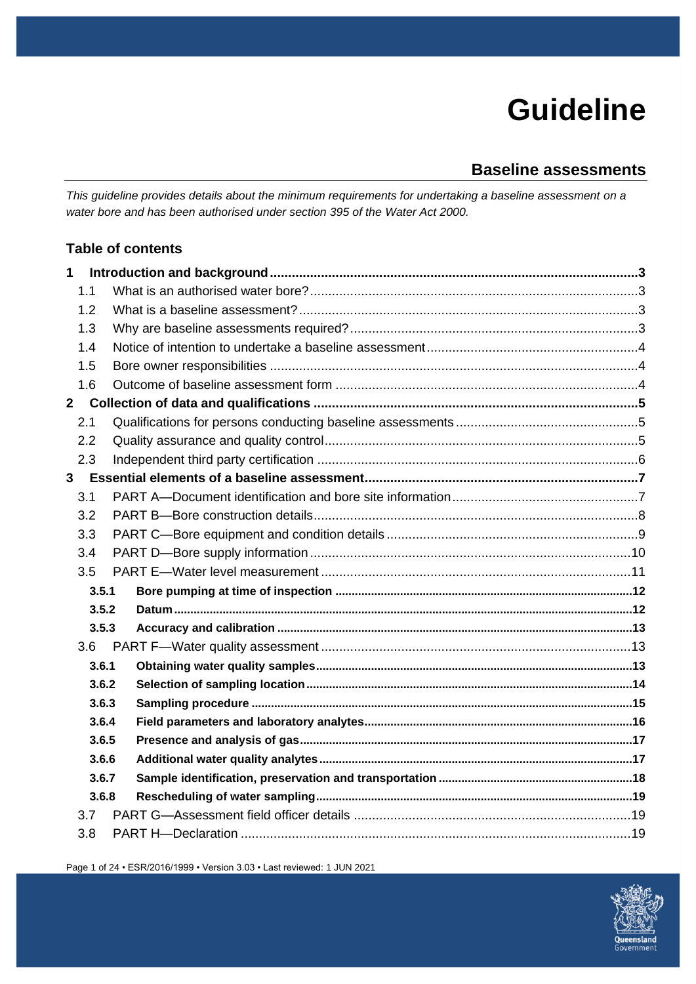# **Guideline**

# **Baseline assessments**

*This guideline provides details about the minimum requirements for undertaking a baseline assessment on a water bore and has been authorised under section 395 of the Water Act 2000.*

# **Table of contents**

| $\mathbf{1}$ |       |  |
|--------------|-------|--|
| 1.1          |       |  |
| 1.2          |       |  |
| 1.3          |       |  |
| 1.4          |       |  |
| 1.5          |       |  |
| 1.6          |       |  |
| $\mathbf{2}$ |       |  |
| 2.1          |       |  |
| 2.2          |       |  |
| 2.3          |       |  |
| 3            |       |  |
| 3.1          |       |  |
| 3.2          |       |  |
| 3.3          |       |  |
| 3.4          |       |  |
| 3.5          |       |  |
|              | 3.5.1 |  |
|              | 3.5.2 |  |
|              | 3.5.3 |  |
| 3.6          |       |  |
|              | 3.6.1 |  |
|              | 3.6.2 |  |
|              | 3.6.3 |  |
|              | 3.6.4 |  |
|              | 3.6.5 |  |
|              | 3.6.6 |  |
|              | 3.6.7 |  |
|              | 3.6.8 |  |
| 3.7          |       |  |
| 3.8          |       |  |

Page 1 of 24 • ESR/2016/1999 • Version 3.03 • Last reviewed: 1 JUN 2021

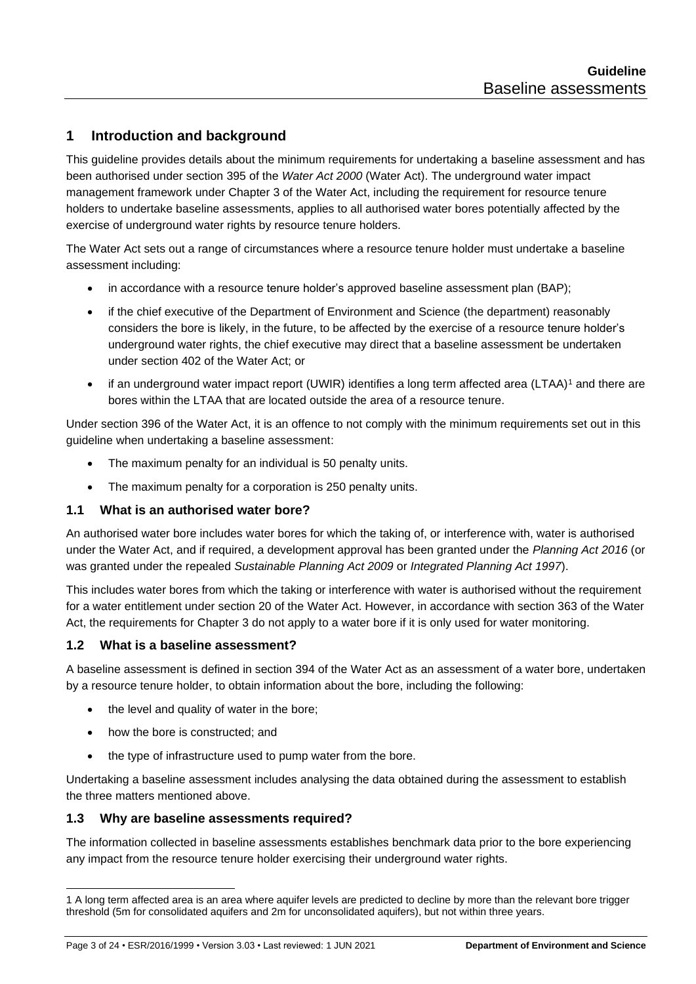# <span id="page-2-0"></span>**1 Introduction and background**

This guideline provides details about the minimum requirements for undertaking a baseline assessment and has been authorised under section 395 of the *Water Act 2000* (Water Act). The underground water impact management framework under Chapter 3 of the Water Act, including the requirement for resource tenure holders to undertake baseline assessments, applies to all authorised water bores potentially affected by the exercise of underground water rights by resource tenure holders.

The Water Act sets out a range of circumstances where a resource tenure holder must undertake a baseline assessment including:

- in accordance with a resource tenure holder's approved baseline assessment plan (BAP);
- if the chief executive of the Department of Environment and Science (the department) reasonably considers the bore is likely, in the future, to be affected by the exercise of a resource tenure holder's underground water rights, the chief executive may direct that a baseline assessment be undertaken under section 402 of the Water Act; or
- if an underground water impact report (UWIR) identifies a long term affected area (LTAA)<sup>1</sup> and there are bores within the LTAA that are located outside the area of a resource tenure.

Under section 396 of the Water Act, it is an offence to not comply with the minimum requirements set out in this guideline when undertaking a baseline assessment:

- The maximum penalty for an individual is 50 penalty units.
- The maximum penalty for a corporation is 250 penalty units.

#### <span id="page-2-1"></span>**1.1 What is an authorised water bore?**

An authorised water bore includes water bores for which the taking of, or interference with, water is authorised under the Water Act, and if required, a development approval has been granted under the *Planning Act 2016* (or was granted under the repealed *Sustainable Planning Act 2009* or *Integrated Planning Act 1997*).

This includes water bores from which the taking or interference with water is authorised without the requirement for a water entitlement under section 20 of the Water Act. However, in accordance with section 363 of the Water Act, the requirements for Chapter 3 do not apply to a water bore if it is only used for water monitoring.

#### <span id="page-2-2"></span>**1.2 What is a baseline assessment?**

A baseline assessment is defined in section 394 of the Water Act as an assessment of a water bore, undertaken by a resource tenure holder, to obtain information about the bore, including the following:

- the level and quality of water in the bore;
- how the bore is constructed; and
- the type of infrastructure used to pump water from the bore.

Undertaking a baseline assessment includes analysing the data obtained during the assessment to establish the three matters mentioned above.

#### <span id="page-2-3"></span>**1.3 Why are baseline assessments required?**

The information collected in baseline assessments establishes benchmark data prior to the bore experiencing any impact from the resource tenure holder exercising their underground water rights.

<sup>1</sup> A long term affected area is an area where aquifer levels are predicted to decline by more than the relevant bore trigger threshold (5m for consolidated aquifers and 2m for unconsolidated aquifers), but not within three years.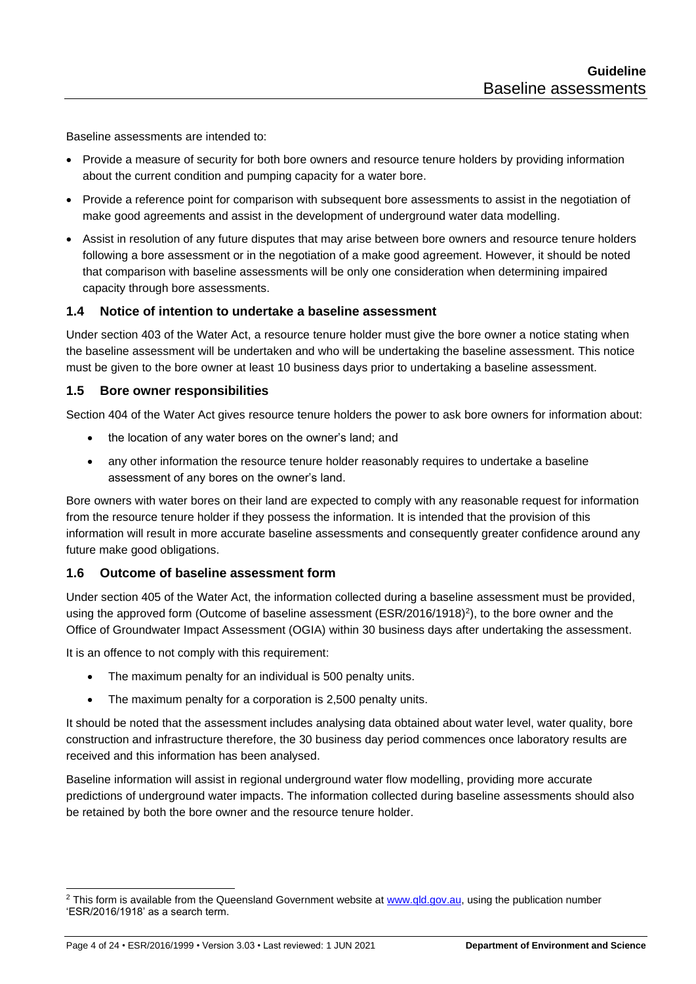Baseline assessments are intended to:

- Provide a measure of security for both bore owners and resource tenure holders by providing information about the current condition and pumping capacity for a water bore.
- Provide a reference point for comparison with subsequent bore assessments to assist in the negotiation of make good agreements and assist in the development of underground water data modelling.
- Assist in resolution of any future disputes that may arise between bore owners and resource tenure holders following a bore assessment or in the negotiation of a make good agreement. However, it should be noted that comparison with baseline assessments will be only one consideration when determining impaired capacity through bore assessments.

#### <span id="page-3-0"></span>**1.4 Notice of intention to undertake a baseline assessment**

Under section 403 of the Water Act, a resource tenure holder must give the bore owner a notice stating when the baseline assessment will be undertaken and who will be undertaking the baseline assessment. This notice must be given to the bore owner at least 10 business days prior to undertaking a baseline assessment.

#### <span id="page-3-1"></span>**1.5 Bore owner responsibilities**

Section 404 of the Water Act gives resource tenure holders the power to ask bore owners for information about:

- the location of any water bores on the owner's land; and
- any other information the resource tenure holder reasonably requires to undertake a baseline assessment of any bores on the owner's land.

Bore owners with water bores on their land are expected to comply with any reasonable request for information from the resource tenure holder if they possess the information. It is intended that the provision of this information will result in more accurate baseline assessments and consequently greater confidence around any future make good obligations.

#### <span id="page-3-2"></span>**1.6 Outcome of baseline assessment form**

Under section 405 of the Water Act, the information collected during a baseline assessment must be provided, using the approved form (Outcome of baseline assessment (ESR/2016/1918)<sup>2</sup>), to the bore owner and the Office of Groundwater Impact Assessment (OGIA) within 30 business days after undertaking the assessment.

It is an offence to not comply with this requirement:

- The maximum penalty for an individual is 500 penalty units.
- The maximum penalty for a corporation is 2,500 penalty units.

It should be noted that the assessment includes analysing data obtained about water level, water quality, bore construction and infrastructure therefore, the 30 business day period commences once laboratory results are received and this information has been analysed.

Baseline information will assist in regional underground water flow modelling, providing more accurate predictions of underground water impacts. The information collected during baseline assessments should also be retained by both the bore owner and the resource tenure holder.

<sup>&</sup>lt;sup>2</sup> This form is available from the Queensland Government website at [www.qld.gov.au,](http://www.qld.gov.au/) using the publication number 'ESR/2016/1918' as a search term.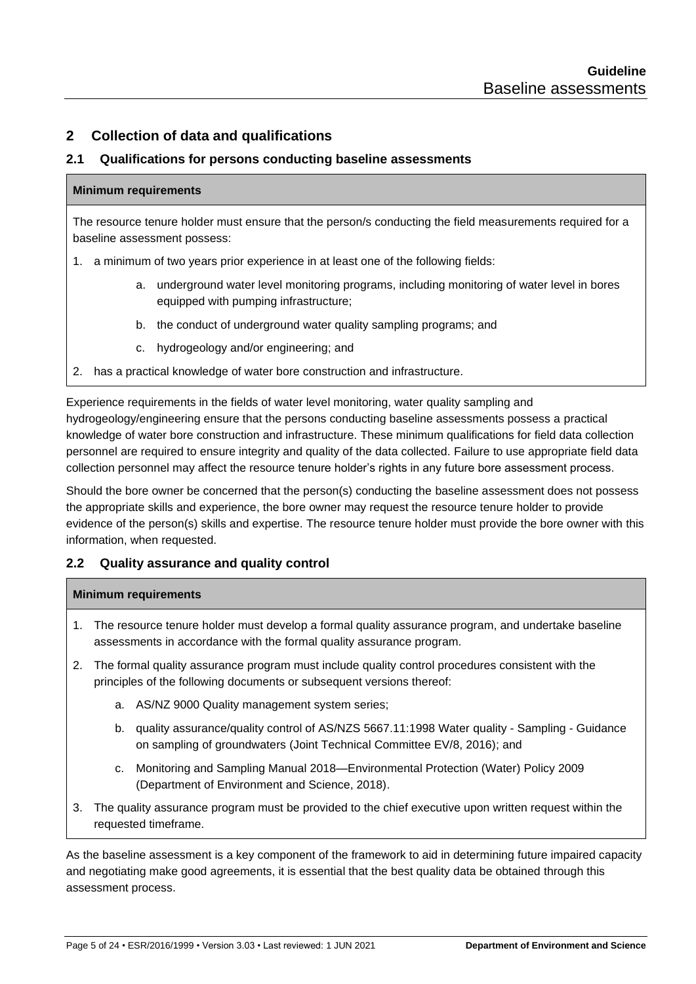# <span id="page-4-0"></span>**2 Collection of data and qualifications**

#### <span id="page-4-1"></span>**2.1 Qualifications for persons conducting baseline assessments**

#### **Minimum requirements**

The resource tenure holder must ensure that the person/s conducting the field measurements required for a baseline assessment possess:

- 1. a minimum of two years prior experience in at least one of the following fields:
	- a. underground water level monitoring programs, including monitoring of water level in bores equipped with pumping infrastructure;
	- b. the conduct of underground water quality sampling programs; and
	- c. hydrogeology and/or engineering; and
- 2. has a practical knowledge of water bore construction and infrastructure.

Experience requirements in the fields of water level monitoring, water quality sampling and hydrogeology/engineering ensure that the persons conducting baseline assessments possess a practical knowledge of water bore construction and infrastructure. These minimum qualifications for field data collection personnel are required to ensure integrity and quality of the data collected. Failure to use appropriate field data collection personnel may affect the resource tenure holder's rights in any future bore assessment process.

Should the bore owner be concerned that the person(s) conducting the baseline assessment does not possess the appropriate skills and experience, the bore owner may request the resource tenure holder to provide evidence of the person(s) skills and expertise. The resource tenure holder must provide the bore owner with this information, when requested.

#### <span id="page-4-2"></span>**2.2 Quality assurance and quality control**

#### **Minimum requirements**

- 1. The resource tenure holder must develop a formal quality assurance program, and undertake baseline assessments in accordance with the formal quality assurance program.
- 2. The formal quality assurance program must include quality control procedures consistent with the principles of the following documents or subsequent versions thereof:
	- a. AS/NZ 9000 Quality management system series;
	- b. quality assurance/quality control of AS/NZS 5667.11:1998 Water quality Sampling Guidance on sampling of groundwaters (Joint Technical Committee EV/8, 2016); and
	- c. Monitoring and Sampling Manual 2018—Environmental Protection (Water) Policy 2009 (Department of Environment and Science, 2018).
- 3. The quality assurance program must be provided to the chief executive upon written request within the requested timeframe.

As the baseline assessment is a key component of the framework to aid in determining future impaired capacity and negotiating make good agreements, it is essential that the best quality data be obtained through this assessment process.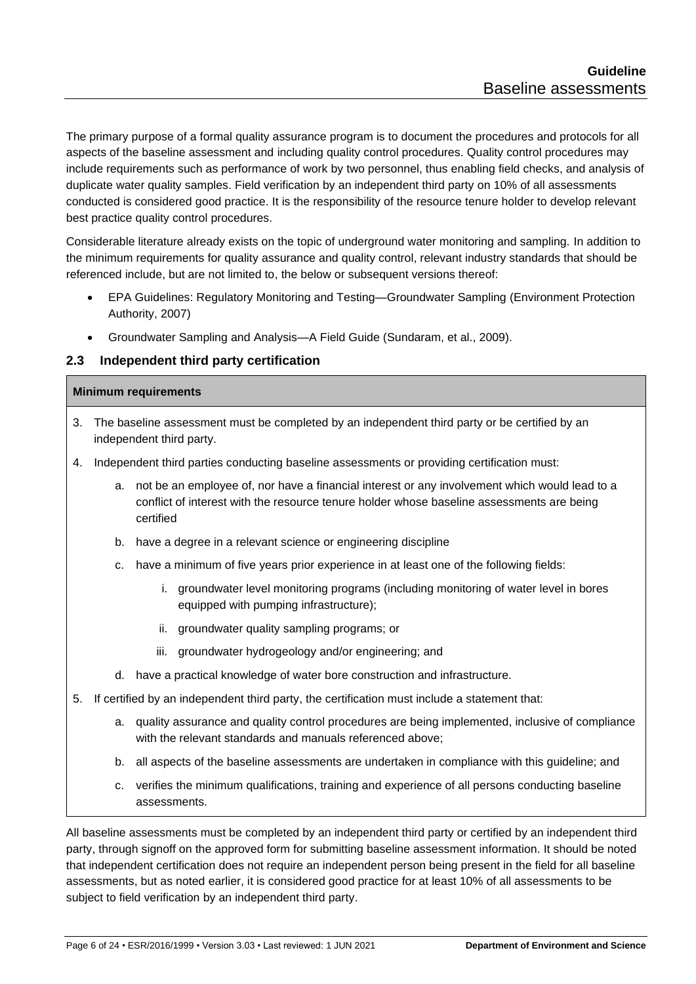The primary purpose of a formal quality assurance program is to document the procedures and protocols for all aspects of the baseline assessment and including quality control procedures. Quality control procedures may include requirements such as performance of work by two personnel, thus enabling field checks, and analysis of duplicate water quality samples. Field verification by an independent third party on 10% of all assessments conducted is considered good practice. It is the responsibility of the resource tenure holder to develop relevant best practice quality control procedures.

Considerable literature already exists on the topic of underground water monitoring and sampling. In addition to the minimum requirements for quality assurance and quality control, relevant industry standards that should be referenced include, but are not limited to, the below or subsequent versions thereof:

- EPA Guidelines: Regulatory Monitoring and Testing—Groundwater Sampling (Environment Protection Authority, 2007)
- Groundwater Sampling and Analysis—A Field Guide (Sundaram, et al., 2009).

#### <span id="page-5-0"></span>**2.3 Independent third party certification**

#### **Minimum requirements**

- 3. The baseline assessment must be completed by an independent third party or be certified by an independent third party.
- 4. Independent third parties conducting baseline assessments or providing certification must:
	- a. not be an employee of, nor have a financial interest or any involvement which would lead to a conflict of interest with the resource tenure holder whose baseline assessments are being certified
	- b. have a degree in a relevant science or engineering discipline
	- c. have a minimum of five years prior experience in at least one of the following fields:
		- i. groundwater level monitoring programs (including monitoring of water level in bores equipped with pumping infrastructure);
		- ii. groundwater quality sampling programs; or
		- iii. groundwater hydrogeology and/or engineering; and
	- d. have a practical knowledge of water bore construction and infrastructure.
- 5. If certified by an independent third party, the certification must include a statement that:
	- a. quality assurance and quality control procedures are being implemented, inclusive of compliance with the relevant standards and manuals referenced above:
	- b. all aspects of the baseline assessments are undertaken in compliance with this guideline; and
	- c. verifies the minimum qualifications, training and experience of all persons conducting baseline assessments.

All baseline assessments must be completed by an independent third party or certified by an independent third party, through signoff on the approved form for submitting baseline assessment information. It should be noted that independent certification does not require an independent person being present in the field for all baseline assessments, but as noted earlier, it is considered good practice for at least 10% of all assessments to be subject to field verification by an independent third party.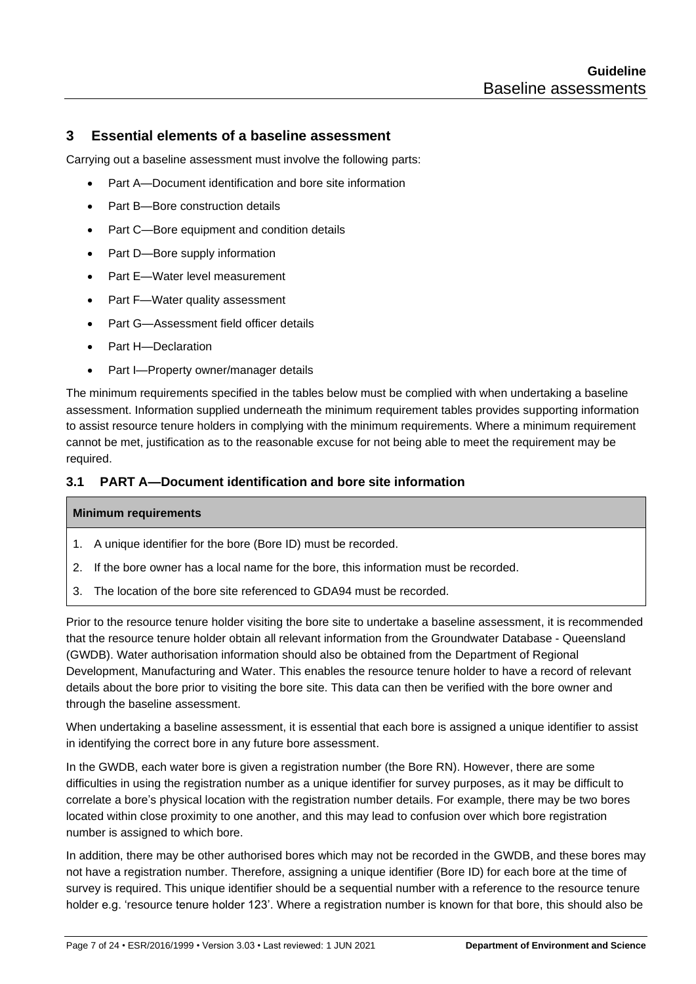## <span id="page-6-0"></span>**3 Essential elements of a baseline assessment**

Carrying out a baseline assessment must involve the following parts:

- Part A—Document identification and bore site information
- Part B—Bore construction details
- Part C—Bore equipment and condition details
- Part D—Bore supply information
- Part E—Water level measurement
- Part F—Water quality assessment
- Part G—Assessment field officer details
- Part H-Declaration
- Part I—Property owner/manager details

The minimum requirements specified in the tables below must be complied with when undertaking a baseline assessment. Information supplied underneath the minimum requirement tables provides supporting information to assist resource tenure holders in complying with the minimum requirements. Where a minimum requirement cannot be met, justification as to the reasonable excuse for not being able to meet the requirement may be required.

#### <span id="page-6-1"></span>**3.1 PART A—Document identification and bore site information**

#### **Minimum requirements**

- 1. A unique identifier for the bore (Bore ID) must be recorded.
- 2. If the bore owner has a local name for the bore, this information must be recorded.
- 3. The location of the bore site referenced to GDA94 must be recorded.

Prior to the resource tenure holder visiting the bore site to undertake a baseline assessment, it is recommended that the resource tenure holder obtain all relevant information from the Groundwater Database - Queensland (GWDB). Water authorisation information should also be obtained from the Department of Regional Development, Manufacturing and Water. This enables the resource tenure holder to have a record of relevant details about the bore prior to visiting the bore site. This data can then be verified with the bore owner and through the baseline assessment.

When undertaking a baseline assessment, it is essential that each bore is assigned a unique identifier to assist in identifying the correct bore in any future bore assessment.

In the GWDB, each water bore is given a registration number (the Bore RN). However, there are some difficulties in using the registration number as a unique identifier for survey purposes, as it may be difficult to correlate a bore's physical location with the registration number details. For example, there may be two bores located within close proximity to one another, and this may lead to confusion over which bore registration number is assigned to which bore.

In addition, there may be other authorised bores which may not be recorded in the GWDB, and these bores may not have a registration number. Therefore, assigning a unique identifier (Bore ID) for each bore at the time of survey is required. This unique identifier should be a sequential number with a reference to the resource tenure holder e.g. 'resource tenure holder 123'. Where a registration number is known for that bore, this should also be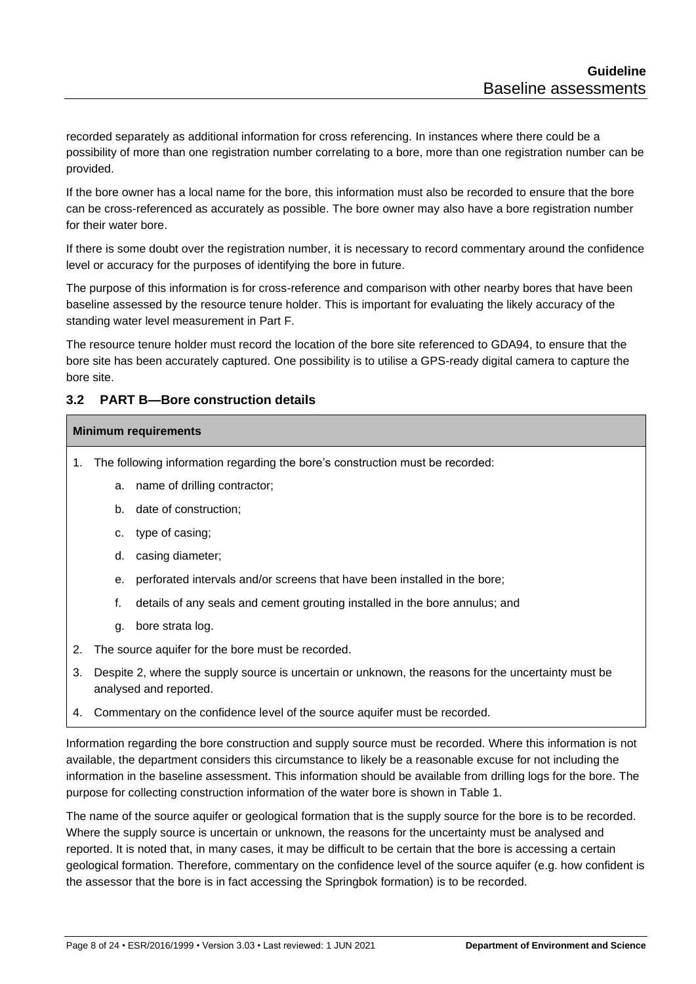recorded separately as additional information for cross referencing. In instances where there could be a possibility of more than one registration number correlating to a bore, more than one registration number can be provided.

If the bore owner has a local name for the bore, this information must also be recorded to ensure that the bore can be cross-referenced as accurately as possible. The bore owner may also have a bore registration number for their water bore.

If there is some doubt over the registration number, it is necessary to record commentary around the confidence level or accuracy for the purposes of identifying the bore in future.

The purpose of this information is for cross-reference and comparison with other nearby bores that have been baseline assessed by the resource tenure holder. This is important for evaluating the likely accuracy of the standing water level measurement in Part F.

The resource tenure holder must record the location of the bore site referenced to GDA94, to ensure that the bore site has been accurately captured. One possibility is to utilise a GPS-ready digital camera to capture the bore site.

## <span id="page-7-0"></span>**3.2 PART B—Bore construction details**

#### **Minimum requirements**

- 1. The following information regarding the bore's construction must be recorded:
	- a. name of drilling contractor;
	- b. date of construction;
	- c. type of casing;
	- d. casing diameter;
	- e. perforated intervals and/or screens that have been installed in the bore;
	- f. details of any seals and cement grouting installed in the bore annulus; and
	- g. bore strata log.
- 2. The source aquifer for the bore must be recorded.
- 3. Despite 2, where the supply source is uncertain or unknown, the reasons for the uncertainty must be analysed and reported.
- 4. Commentary on the confidence level of the source aquifer must be recorded.

Information regarding the bore construction and supply source must be recorded. Where this information is not available, the department considers this circumstance to likely be a reasonable excuse for not including the information in the baseline assessment. This information should be available from drilling logs for the bore. The purpose for collecting construction information of the water bore is shown in Table 1.

The name of the source aquifer or geological formation that is the supply source for the bore is to be recorded. Where the supply source is uncertain or unknown, the reasons for the uncertainty must be analysed and reported. It is noted that, in many cases, it may be difficult to be certain that the bore is accessing a certain geological formation. Therefore, commentary on the confidence level of the source aquifer (e.g. how confident is the assessor that the bore is in fact accessing the Springbok formation) is to be recorded.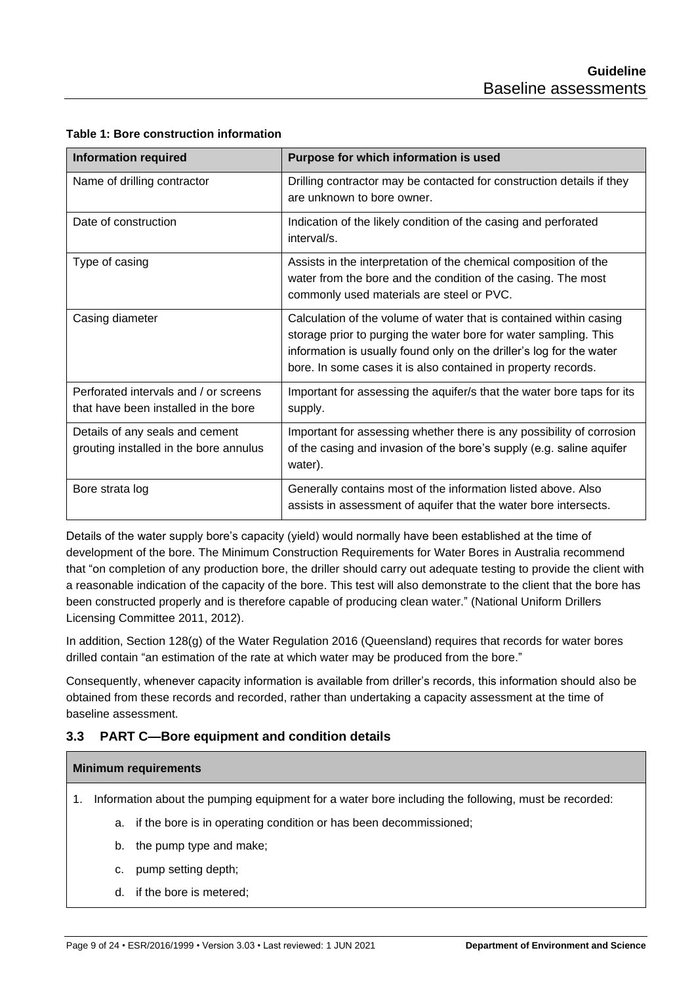| <b>Information required</b>                                                   | Purpose for which information is used                                                                                                                                                                                                                                           |
|-------------------------------------------------------------------------------|---------------------------------------------------------------------------------------------------------------------------------------------------------------------------------------------------------------------------------------------------------------------------------|
| Name of drilling contractor                                                   | Drilling contractor may be contacted for construction details if they<br>are unknown to bore owner.                                                                                                                                                                             |
| Date of construction                                                          | Indication of the likely condition of the casing and perforated<br>interval/s.                                                                                                                                                                                                  |
| Type of casing                                                                | Assists in the interpretation of the chemical composition of the<br>water from the bore and the condition of the casing. The most<br>commonly used materials are steel or PVC.                                                                                                  |
| Casing diameter                                                               | Calculation of the volume of water that is contained within casing<br>storage prior to purging the water bore for water sampling. This<br>information is usually found only on the driller's log for the water<br>bore. In some cases it is also contained in property records. |
| Perforated intervals and / or screens<br>that have been installed in the bore | Important for assessing the aquifer/s that the water bore taps for its<br>supply.                                                                                                                                                                                               |
| Details of any seals and cement<br>grouting installed in the bore annulus     | Important for assessing whether there is any possibility of corrosion<br>of the casing and invasion of the bore's supply (e.g. saline aquifer<br>water).                                                                                                                        |
| Bore strata log                                                               | Generally contains most of the information listed above. Also<br>assists in assessment of aquifer that the water bore intersects.                                                                                                                                               |

#### **Table 1: Bore construction information**

Details of the water supply bore's capacity (yield) would normally have been established at the time of development of the bore. The Minimum Construction Requirements for Water Bores in Australia recommend that "on completion of any production bore, the driller should carry out adequate testing to provide the client with a reasonable indication of the capacity of the bore. This test will also demonstrate to the client that the bore has been constructed properly and is therefore capable of producing clean water." (National Uniform Drillers Licensing Committee 2011, 2012).

In addition, Section 128(g) of the Water Regulation 2016 (Queensland) requires that records for water bores drilled contain "an estimation of the rate at which water may be produced from the bore."

Consequently, whenever capacity information is available from driller's records, this information should also be obtained from these records and recorded, rather than undertaking a capacity assessment at the time of baseline assessment.

# <span id="page-8-0"></span>**3.3 PART C—Bore equipment and condition details**

#### **Minimum requirements**

- 1. Information about the pumping equipment for a water bore including the following, must be recorded:
	- a. if the bore is in operating condition or has been decommissioned;
	- b. the pump type and make;
	- c. pump setting depth;
	- d. if the bore is metered;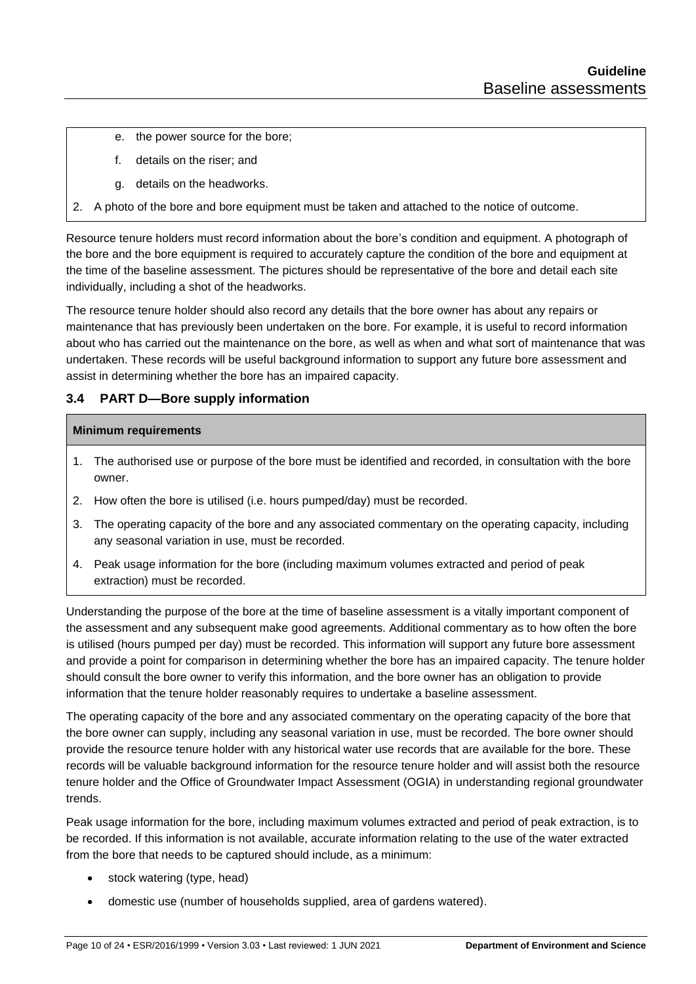- e. the power source for the bore;
- f. details on the riser; and
- g. details on the headworks.
- 2. A photo of the bore and bore equipment must be taken and attached to the notice of outcome.

Resource tenure holders must record information about the bore's condition and equipment. A photograph of the bore and the bore equipment is required to accurately capture the condition of the bore and equipment at the time of the baseline assessment. The pictures should be representative of the bore and detail each site individually, including a shot of the headworks.

The resource tenure holder should also record any details that the bore owner has about any repairs or maintenance that has previously been undertaken on the bore. For example, it is useful to record information about who has carried out the maintenance on the bore, as well as when and what sort of maintenance that was undertaken. These records will be useful background information to support any future bore assessment and assist in determining whether the bore has an impaired capacity.

## <span id="page-9-0"></span>**3.4 PART D—Bore supply information**

#### **Minimum requirements**

- 1. The authorised use or purpose of the bore must be identified and recorded, in consultation with the bore owner.
- 2. How often the bore is utilised (i.e. hours pumped/day) must be recorded.
- 3. The operating capacity of the bore and any associated commentary on the operating capacity, including any seasonal variation in use, must be recorded.
- 4. Peak usage information for the bore (including maximum volumes extracted and period of peak extraction) must be recorded.

Understanding the purpose of the bore at the time of baseline assessment is a vitally important component of the assessment and any subsequent make good agreements. Additional commentary as to how often the bore is utilised (hours pumped per day) must be recorded. This information will support any future bore assessment and provide a point for comparison in determining whether the bore has an impaired capacity. The tenure holder should consult the bore owner to verify this information, and the bore owner has an obligation to provide information that the tenure holder reasonably requires to undertake a baseline assessment.

The operating capacity of the bore and any associated commentary on the operating capacity of the bore that the bore owner can supply, including any seasonal variation in use, must be recorded. The bore owner should provide the resource tenure holder with any historical water use records that are available for the bore. These records will be valuable background information for the resource tenure holder and will assist both the resource tenure holder and the Office of Groundwater Impact Assessment (OGIA) in understanding regional groundwater trends.

Peak usage information for the bore, including maximum volumes extracted and period of peak extraction, is to be recorded. If this information is not available, accurate information relating to the use of the water extracted from the bore that needs to be captured should include, as a minimum:

- stock watering (type, head)
- domestic use (number of households supplied, area of gardens watered).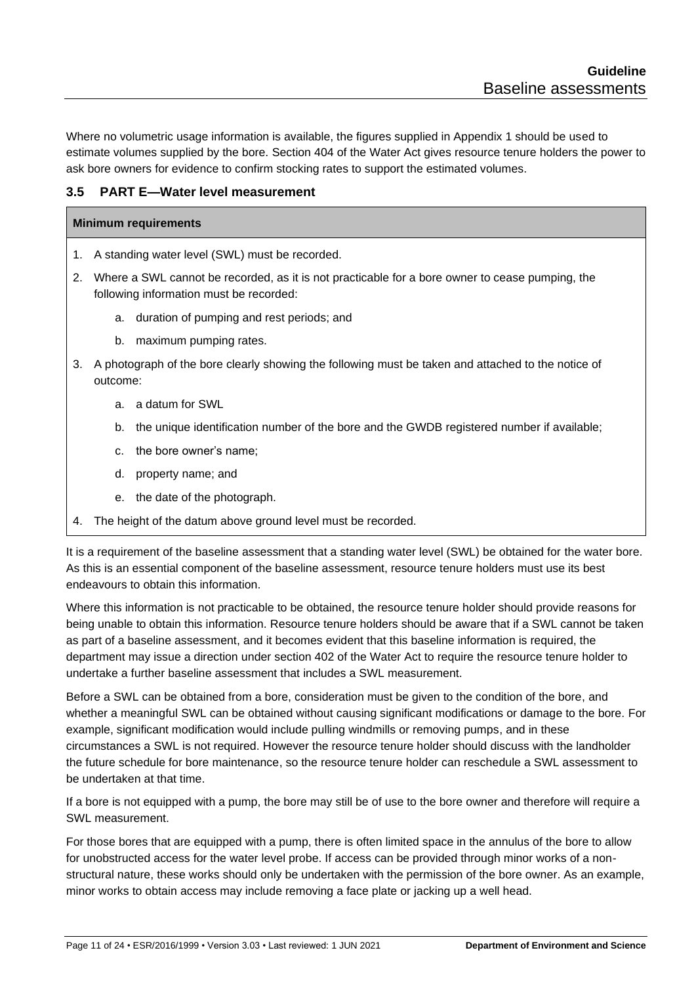Where no volumetric usage information is available, the figures supplied in Appendix 1 should be used to estimate volumes supplied by the bore. Section 404 of the Water Act gives resource tenure holders the power to ask bore owners for evidence to confirm stocking rates to support the estimated volumes.

#### <span id="page-10-0"></span>**3.5 PART E—Water level measurement**

#### **Minimum requirements**

- 1. A standing water level (SWL) must be recorded.
- 2. Where a SWL cannot be recorded, as it is not practicable for a bore owner to cease pumping, the following information must be recorded:
	- a. duration of pumping and rest periods; and
	- b. maximum pumping rates.
- 3. A photograph of the bore clearly showing the following must be taken and attached to the notice of outcome:
	- a. a datum for SWL
	- b. the unique identification number of the bore and the GWDB registered number if available;
	- c. the bore owner's name;
	- d. property name; and
	- e. the date of the photograph.
- 4. The height of the datum above ground level must be recorded.

It is a requirement of the baseline assessment that a standing water level (SWL) be obtained for the water bore. As this is an essential component of the baseline assessment, resource tenure holders must use its best endeavours to obtain this information.

Where this information is not practicable to be obtained, the resource tenure holder should provide reasons for being unable to obtain this information. Resource tenure holders should be aware that if a SWL cannot be taken as part of a baseline assessment, and it becomes evident that this baseline information is required, the department may issue a direction under section 402 of the Water Act to require the resource tenure holder to undertake a further baseline assessment that includes a SWL measurement.

Before a SWL can be obtained from a bore, consideration must be given to the condition of the bore, and whether a meaningful SWL can be obtained without causing significant modifications or damage to the bore. For example, significant modification would include pulling windmills or removing pumps, and in these circumstances a SWL is not required. However the resource tenure holder should discuss with the landholder the future schedule for bore maintenance, so the resource tenure holder can reschedule a SWL assessment to be undertaken at that time.

If a bore is not equipped with a pump, the bore may still be of use to the bore owner and therefore will require a SWL measurement.

For those bores that are equipped with a pump, there is often limited space in the annulus of the bore to allow for unobstructed access for the water level probe. If access can be provided through minor works of a nonstructural nature, these works should only be undertaken with the permission of the bore owner. As an example, minor works to obtain access may include removing a face plate or jacking up a well head.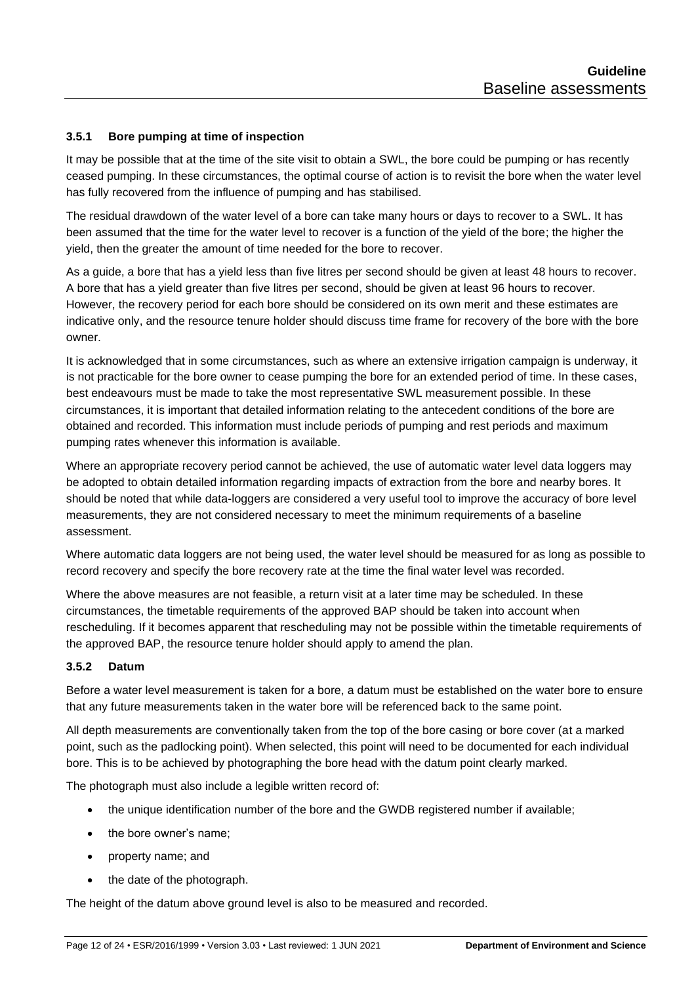#### <span id="page-11-0"></span>**3.5.1 Bore pumping at time of inspection**

It may be possible that at the time of the site visit to obtain a SWL, the bore could be pumping or has recently ceased pumping. In these circumstances, the optimal course of action is to revisit the bore when the water level has fully recovered from the influence of pumping and has stabilised.

The residual drawdown of the water level of a bore can take many hours or days to recover to a SWL. It has been assumed that the time for the water level to recover is a function of the yield of the bore; the higher the yield, then the greater the amount of time needed for the bore to recover.

As a guide, a bore that has a yield less than five litres per second should be given at least 48 hours to recover. A bore that has a yield greater than five litres per second, should be given at least 96 hours to recover. However, the recovery period for each bore should be considered on its own merit and these estimates are indicative only, and the resource tenure holder should discuss time frame for recovery of the bore with the bore owner.

It is acknowledged that in some circumstances, such as where an extensive irrigation campaign is underway, it is not practicable for the bore owner to cease pumping the bore for an extended period of time. In these cases, best endeavours must be made to take the most representative SWL measurement possible. In these circumstances, it is important that detailed information relating to the antecedent conditions of the bore are obtained and recorded. This information must include periods of pumping and rest periods and maximum pumping rates whenever this information is available.

Where an appropriate recovery period cannot be achieved, the use of automatic water level data loggers may be adopted to obtain detailed information regarding impacts of extraction from the bore and nearby bores. It should be noted that while data-loggers are considered a very useful tool to improve the accuracy of bore level measurements, they are not considered necessary to meet the minimum requirements of a baseline assessment.

Where automatic data loggers are not being used, the water level should be measured for as long as possible to record recovery and specify the bore recovery rate at the time the final water level was recorded.

Where the above measures are not feasible, a return visit at a later time may be scheduled. In these circumstances, the timetable requirements of the approved BAP should be taken into account when rescheduling. If it becomes apparent that rescheduling may not be possible within the timetable requirements of the approved BAP, the resource tenure holder should apply to amend the plan.

#### <span id="page-11-1"></span>**3.5.2 Datum**

Before a water level measurement is taken for a bore, a datum must be established on the water bore to ensure that any future measurements taken in the water bore will be referenced back to the same point.

All depth measurements are conventionally taken from the top of the bore casing or bore cover (at a marked point, such as the padlocking point). When selected, this point will need to be documented for each individual bore. This is to be achieved by photographing the bore head with the datum point clearly marked.

The photograph must also include a legible written record of:

- the unique identification number of the bore and the GWDB registered number if available;
- the bore owner's name:
- property name; and
- the date of the photograph.

The height of the datum above ground level is also to be measured and recorded.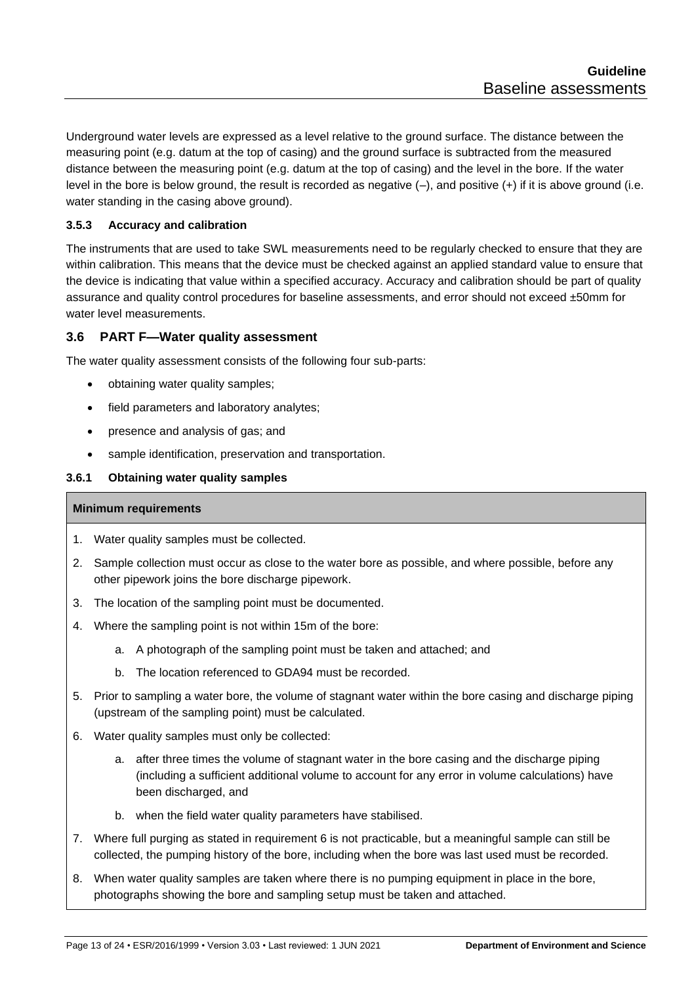Underground water levels are expressed as a level relative to the ground surface. The distance between the measuring point (e.g. datum at the top of casing) and the ground surface is subtracted from the measured distance between the measuring point (e.g. datum at the top of casing) and the level in the bore. If the water level in the bore is below ground, the result is recorded as negative (–), and positive (+) if it is above ground (i.e. water standing in the casing above ground).

#### <span id="page-12-0"></span>**3.5.3 Accuracy and calibration**

The instruments that are used to take SWL measurements need to be regularly checked to ensure that they are within calibration. This means that the device must be checked against an applied standard value to ensure that the device is indicating that value within a specified accuracy. Accuracy and calibration should be part of quality assurance and quality control procedures for baseline assessments, and error should not exceed ±50mm for water level measurements.

#### <span id="page-12-1"></span>**3.6 PART F—Water quality assessment**

The water quality assessment consists of the following four sub-parts:

- obtaining water quality samples;
- field parameters and laboratory analytes;
- presence and analysis of gas; and
- sample identification, preservation and transportation.

#### <span id="page-12-2"></span>**3.6.1 Obtaining water quality samples**

#### **Minimum requirements**

- 1. Water quality samples must be collected.
- 2. Sample collection must occur as close to the water bore as possible, and where possible, before any other pipework joins the bore discharge pipework.
- 3. The location of the sampling point must be documented.
- 4. Where the sampling point is not within 15m of the bore:
	- a. A photograph of the sampling point must be taken and attached; and
	- b. The location referenced to GDA94 must be recorded.
- 5. Prior to sampling a water bore, the volume of stagnant water within the bore casing and discharge piping (upstream of the sampling point) must be calculated.
- 6. Water quality samples must only be collected:
	- a. after three times the volume of stagnant water in the bore casing and the discharge piping (including a sufficient additional volume to account for any error in volume calculations) have been discharged, and
	- b. when the field water quality parameters have stabilised.
- 7. Where full purging as stated in requirement 6 is not practicable, but a meaningful sample can still be collected, the pumping history of the bore, including when the bore was last used must be recorded.
- 8. When water quality samples are taken where there is no pumping equipment in place in the bore, photographs showing the bore and sampling setup must be taken and attached.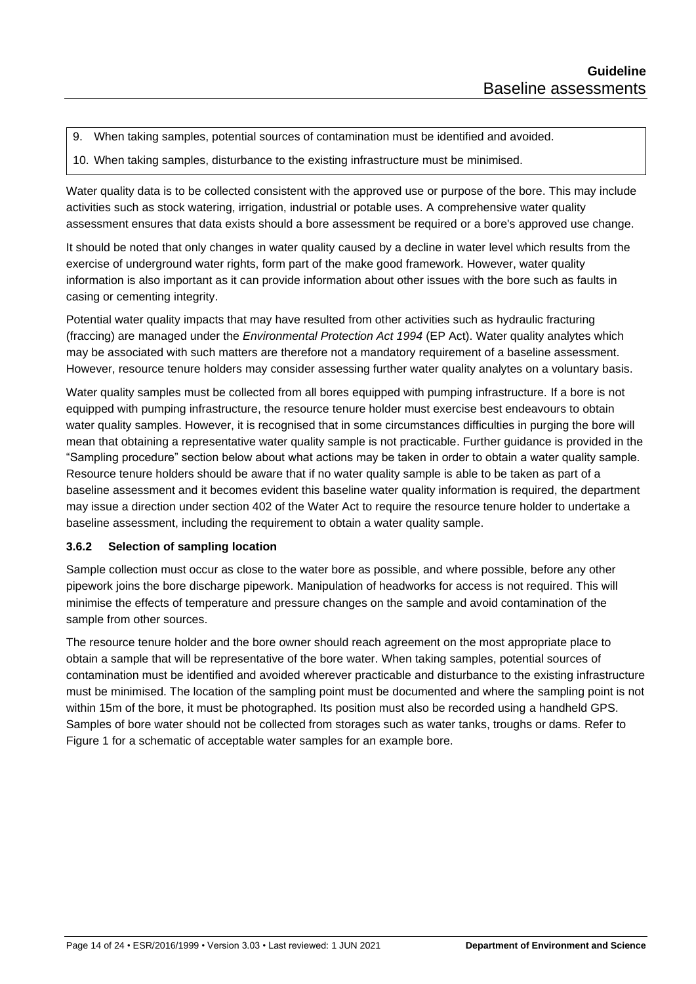9. When taking samples, potential sources of contamination must be identified and avoided.

10. When taking samples, disturbance to the existing infrastructure must be minimised.

Water quality data is to be collected consistent with the approved use or purpose of the bore. This may include activities such as stock watering, irrigation, industrial or potable uses. A comprehensive water quality assessment ensures that data exists should a bore assessment be required or a bore's approved use change.

It should be noted that only changes in water quality caused by a decline in water level which results from the exercise of underground water rights, form part of the make good framework. However, water quality information is also important as it can provide information about other issues with the bore such as faults in casing or cementing integrity.

Potential water quality impacts that may have resulted from other activities such as hydraulic fracturing (fraccing) are managed under the *Environmental Protection Act 1994* (EP Act). Water quality analytes which may be associated with such matters are therefore not a mandatory requirement of a baseline assessment. However, resource tenure holders may consider assessing further water quality analytes on a voluntary basis.

Water quality samples must be collected from all bores equipped with pumping infrastructure. If a bore is not equipped with pumping infrastructure, the resource tenure holder must exercise best endeavours to obtain water quality samples. However, it is recognised that in some circumstances difficulties in purging the bore will mean that obtaining a representative water quality sample is not practicable. Further guidance is provided in the "Sampling procedure" section below about what actions may be taken in order to obtain a water quality sample. Resource tenure holders should be aware that if no water quality sample is able to be taken as part of a baseline assessment and it becomes evident this baseline water quality information is required, the department may issue a direction under section 402 of the Water Act to require the resource tenure holder to undertake a baseline assessment, including the requirement to obtain a water quality sample.

#### <span id="page-13-0"></span>**3.6.2 Selection of sampling location**

Sample collection must occur as close to the water bore as possible, and where possible, before any other pipework joins the bore discharge pipework. Manipulation of headworks for access is not required. This will minimise the effects of temperature and pressure changes on the sample and avoid contamination of the sample from other sources.

The resource tenure holder and the bore owner should reach agreement on the most appropriate place to obtain a sample that will be representative of the bore water. When taking samples, potential sources of contamination must be identified and avoided wherever practicable and disturbance to the existing infrastructure must be minimised. The location of the sampling point must be documented and where the sampling point is not within 15m of the bore, it must be photographed. Its position must also be recorded using a handheld GPS. Samples of bore water should not be collected from storages such as water tanks, troughs or dams. Refer to Figure 1 for a schematic of acceptable water samples for an example bore.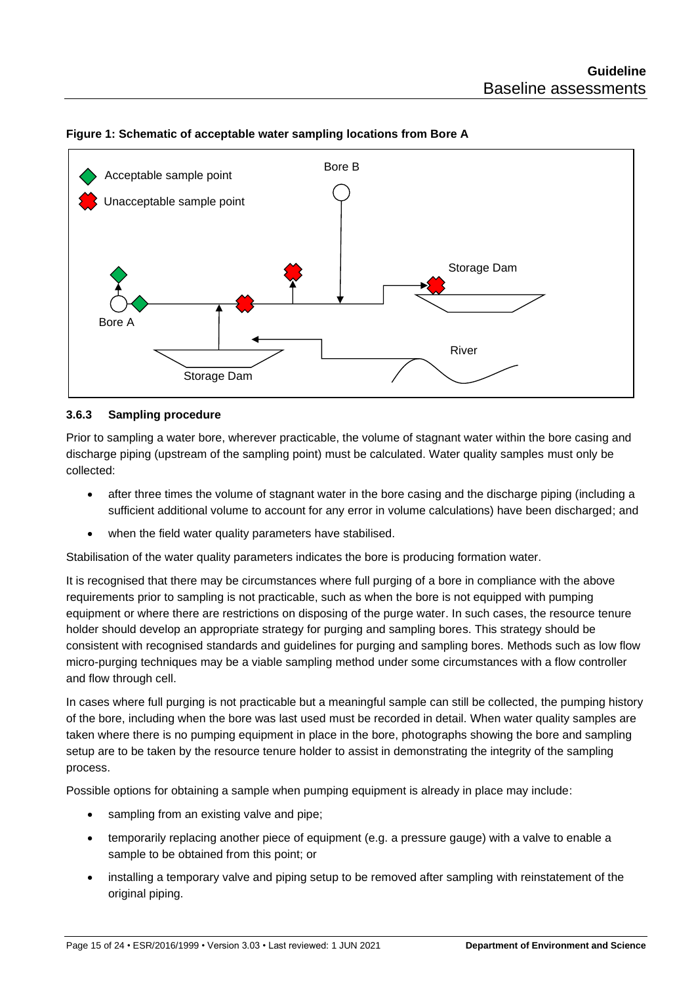

#### **Figure 1: Schematic of acceptable water sampling locations from Bore A**

#### <span id="page-14-0"></span>**3.6.3 Sampling procedure**

Prior to sampling a water bore, wherever practicable, the volume of stagnant water within the bore casing and discharge piping (upstream of the sampling point) must be calculated. Water quality samples must only be collected:

- after three times the volume of stagnant water in the bore casing and the discharge piping (including a sufficient additional volume to account for any error in volume calculations) have been discharged; and
- when the field water quality parameters have stabilised.

Stabilisation of the water quality parameters indicates the bore is producing formation water.

It is recognised that there may be circumstances where full purging of a bore in compliance with the above requirements prior to sampling is not practicable, such as when the bore is not equipped with pumping equipment or where there are restrictions on disposing of the purge water. In such cases, the resource tenure holder should develop an appropriate strategy for purging and sampling bores. This strategy should be consistent with recognised standards and guidelines for purging and sampling bores. Methods such as low flow micro-purging techniques may be a viable sampling method under some circumstances with a flow controller and flow through cell.

In cases where full purging is not practicable but a meaningful sample can still be collected, the pumping history of the bore, including when the bore was last used must be recorded in detail. When water quality samples are taken where there is no pumping equipment in place in the bore, photographs showing the bore and sampling setup are to be taken by the resource tenure holder to assist in demonstrating the integrity of the sampling process.

Possible options for obtaining a sample when pumping equipment is already in place may include:

- sampling from an existing valve and pipe;
- temporarily replacing another piece of equipment (e.g. a pressure gauge) with a valve to enable a sample to be obtained from this point; or
- installing a temporary valve and piping setup to be removed after sampling with reinstatement of the original piping.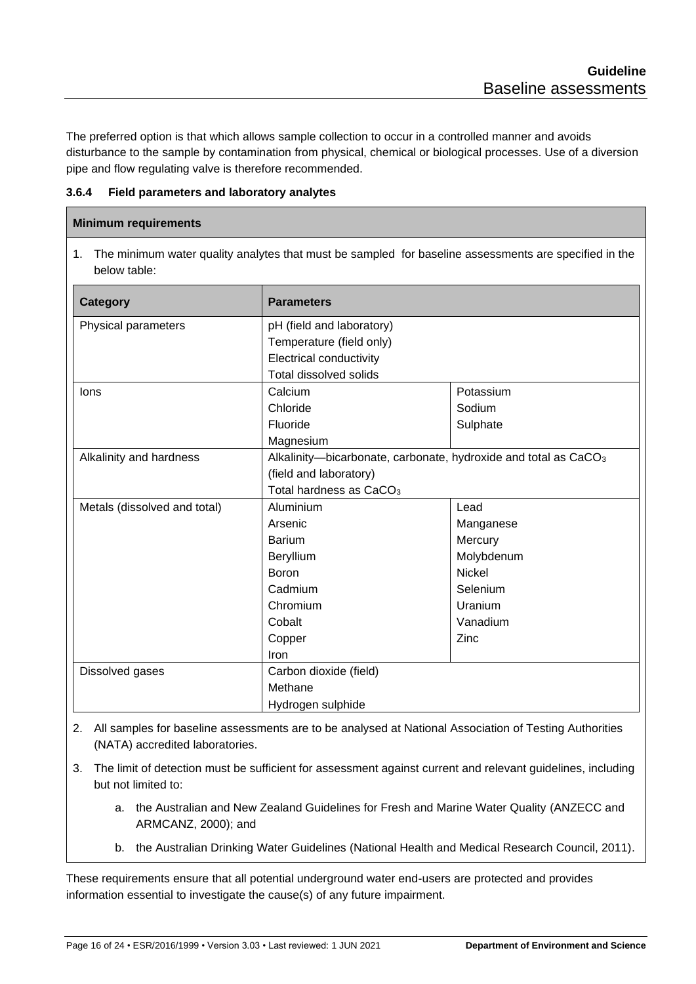The preferred option is that which allows sample collection to occur in a controlled manner and avoids disturbance to the sample by contamination from physical, chemical or biological processes. Use of a diversion pipe and flow regulating valve is therefore recommended.

<span id="page-15-0"></span>**3.6.4 Field parameters and laboratory analytes**

#### **Minimum requirements**

1. The minimum water quality analytes that must be sampled for baseline assessments are specified in the below table:

| Category                     | <b>Parameters</b>                                                           |               |  |
|------------------------------|-----------------------------------------------------------------------------|---------------|--|
| Physical parameters          | pH (field and laboratory)                                                   |               |  |
|                              | Temperature (field only)                                                    |               |  |
|                              | <b>Electrical conductivity</b>                                              |               |  |
|                              | Total dissolved solids                                                      |               |  |
| lons                         | Calcium                                                                     | Potassium     |  |
|                              | Chloride                                                                    | Sodium        |  |
|                              | Fluoride                                                                    | Sulphate      |  |
|                              | Magnesium                                                                   |               |  |
| Alkalinity and hardness      | Alkalinity-bicarbonate, carbonate, hydroxide and total as CaCO <sub>3</sub> |               |  |
|                              | (field and laboratory)                                                      |               |  |
|                              | Total hardness as CaCO <sub>3</sub>                                         |               |  |
| Metals (dissolved and total) | Aluminium                                                                   | Lead          |  |
|                              | Arsenic                                                                     | Manganese     |  |
|                              | <b>Barium</b>                                                               | Mercury       |  |
|                              | Beryllium                                                                   | Molybdenum    |  |
|                              | <b>Boron</b>                                                                | <b>Nickel</b> |  |
|                              | Cadmium                                                                     | Selenium      |  |
|                              | Chromium                                                                    | Uranium       |  |
|                              | Cobalt                                                                      | Vanadium      |  |
|                              | Copper                                                                      | Zinc          |  |
|                              | Iron                                                                        |               |  |
| Dissolved gases              | Carbon dioxide (field)                                                      |               |  |
|                              | Methane                                                                     |               |  |
|                              | Hydrogen sulphide                                                           |               |  |

- 2. All samples for baseline assessments are to be analysed at National Association of Testing Authorities (NATA) accredited laboratories.
- 3. The limit of detection must be sufficient for assessment against current and relevant guidelines, including but not limited to:
	- a. the Australian and New Zealand Guidelines for Fresh and Marine Water Quality (ANZECC and ARMCANZ, 2000); and
	- b. the Australian Drinking Water Guidelines (National Health and Medical Research Council, 2011).

These requirements ensure that all potential underground water end-users are protected and provides information essential to investigate the cause(s) of any future impairment.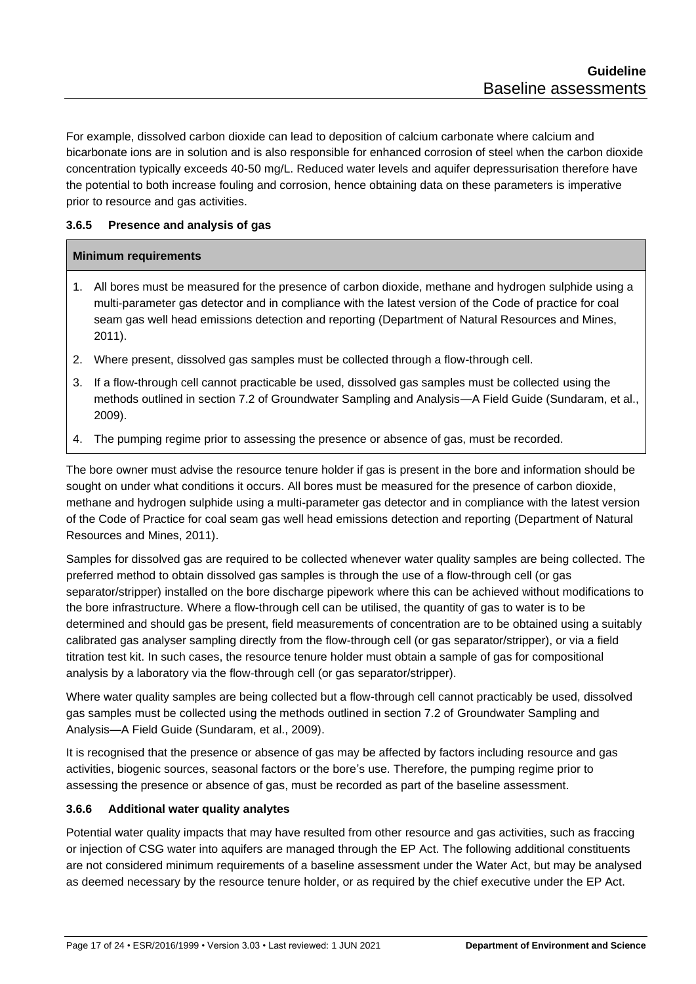For example, dissolved carbon dioxide can lead to deposition of calcium carbonate where calcium and bicarbonate ions are in solution and is also responsible for enhanced corrosion of steel when the carbon dioxide concentration typically exceeds 40-50 mg/L. Reduced water levels and aquifer depressurisation therefore have the potential to both increase fouling and corrosion, hence obtaining data on these parameters is imperative prior to resource and gas activities.

#### <span id="page-16-0"></span>**3.6.5 Presence and analysis of gas**

#### **Minimum requirements**

- 1. All bores must be measured for the presence of carbon dioxide, methane and hydrogen sulphide using a multi-parameter gas detector and in compliance with the latest version of the Code of practice for coal seam gas well head emissions detection and reporting (Department of Natural Resources and Mines, 2011).
- 2. Where present, dissolved gas samples must be collected through a flow-through cell.
- 3. If a flow-through cell cannot practicable be used, dissolved gas samples must be collected using the methods outlined in section 7.2 of Groundwater Sampling and Analysis—A Field Guide (Sundaram, et al., 2009).
- 4. The pumping regime prior to assessing the presence or absence of gas, must be recorded.

The bore owner must advise the resource tenure holder if gas is present in the bore and information should be sought on under what conditions it occurs. All bores must be measured for the presence of carbon dioxide, methane and hydrogen sulphide using a multi-parameter gas detector and in compliance with the latest version of the Code of Practice for coal seam gas well head emissions detection and reporting (Department of Natural Resources and Mines, 2011).

Samples for dissolved gas are required to be collected whenever water quality samples are being collected. The preferred method to obtain dissolved gas samples is through the use of a flow-through cell (or gas separator/stripper) installed on the bore discharge pipework where this can be achieved without modifications to the bore infrastructure. Where a flow-through cell can be utilised, the quantity of gas to water is to be determined and should gas be present, field measurements of concentration are to be obtained using a suitably calibrated gas analyser sampling directly from the flow-through cell (or gas separator/stripper), or via a field titration test kit. In such cases, the resource tenure holder must obtain a sample of gas for compositional analysis by a laboratory via the flow-through cell (or gas separator/stripper).

Where water quality samples are being collected but a flow-through cell cannot practicably be used, dissolved gas samples must be collected using the methods outlined in section 7.2 of Groundwater Sampling and Analysis—A Field Guide (Sundaram, et al., 2009).

It is recognised that the presence or absence of gas may be affected by factors including resource and gas activities, biogenic sources, seasonal factors or the bore's use. Therefore, the pumping regime prior to assessing the presence or absence of gas, must be recorded as part of the baseline assessment.

#### <span id="page-16-1"></span>**3.6.6 Additional water quality analytes**

Potential water quality impacts that may have resulted from other resource and gas activities, such as fraccing or injection of CSG water into aquifers are managed through the EP Act. The following additional constituents are not considered minimum requirements of a baseline assessment under the Water Act, but may be analysed as deemed necessary by the resource tenure holder, or as required by the chief executive under the EP Act.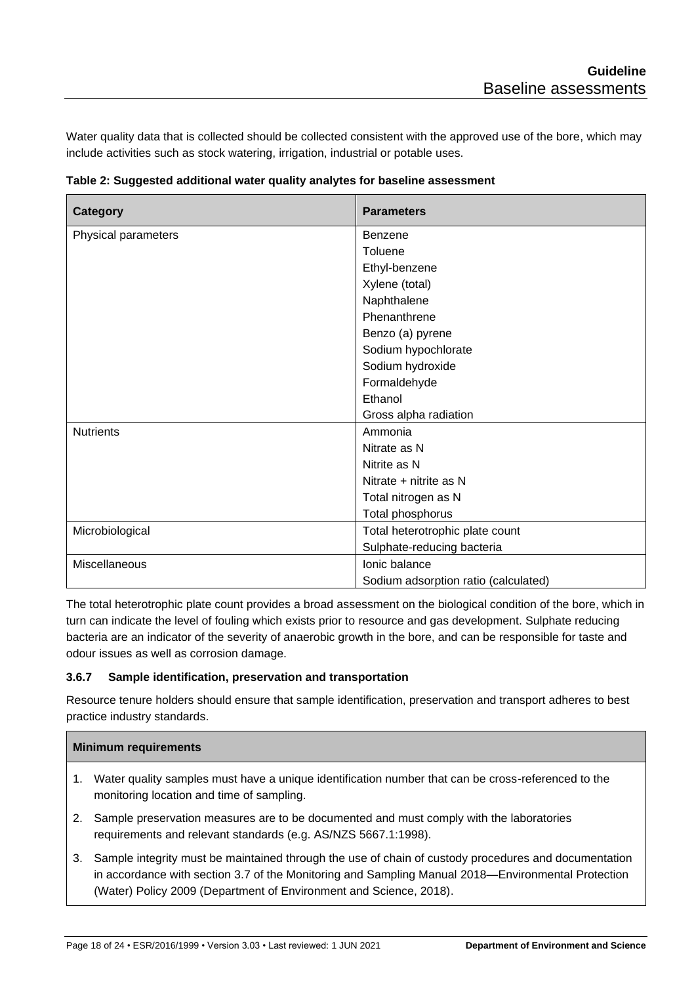Water quality data that is collected should be collected consistent with the approved use of the bore, which may include activities such as stock watering, irrigation, industrial or potable uses.

| <b>Category</b>      | <b>Parameters</b>                    |
|----------------------|--------------------------------------|
| Physical parameters  | Benzene                              |
|                      | Toluene                              |
|                      | Ethyl-benzene                        |
|                      | Xylene (total)                       |
|                      | Naphthalene                          |
|                      | Phenanthrene                         |
|                      | Benzo (a) pyrene                     |
|                      | Sodium hypochlorate                  |
|                      | Sodium hydroxide                     |
|                      | Formaldehyde                         |
|                      | Ethanol                              |
|                      | Gross alpha radiation                |
| <b>Nutrients</b>     | Ammonia                              |
|                      | Nitrate as N                         |
|                      | Nitrite as N                         |
|                      | Nitrate + nitrite as N               |
|                      | Total nitrogen as N                  |
|                      | Total phosphorus                     |
| Microbiological      | Total heterotrophic plate count      |
|                      | Sulphate-reducing bacteria           |
| <b>Miscellaneous</b> | Ionic balance                        |
|                      | Sodium adsorption ratio (calculated) |

**Table 2: Suggested additional water quality analytes for baseline assessment**

The total heterotrophic plate count provides a broad assessment on the biological condition of the bore, which in turn can indicate the level of fouling which exists prior to resource and gas development. Sulphate reducing bacteria are an indicator of the severity of anaerobic growth in the bore, and can be responsible for taste and odour issues as well as corrosion damage.

#### <span id="page-17-0"></span>**3.6.7 Sample identification, preservation and transportation**

Resource tenure holders should ensure that sample identification, preservation and transport adheres to best practice industry standards.

#### **Minimum requirements**

- 1. Water quality samples must have a unique identification number that can be cross-referenced to the monitoring location and time of sampling.
- 2. Sample preservation measures are to be documented and must comply with the laboratories requirements and relevant standards (e.g. AS/NZS 5667.1:1998).
- 3. Sample integrity must be maintained through the use of chain of custody procedures and documentation in accordance with section 3.7 of the Monitoring and Sampling Manual 2018—Environmental Protection (Water) Policy 2009 (Department of Environment and Science, 2018).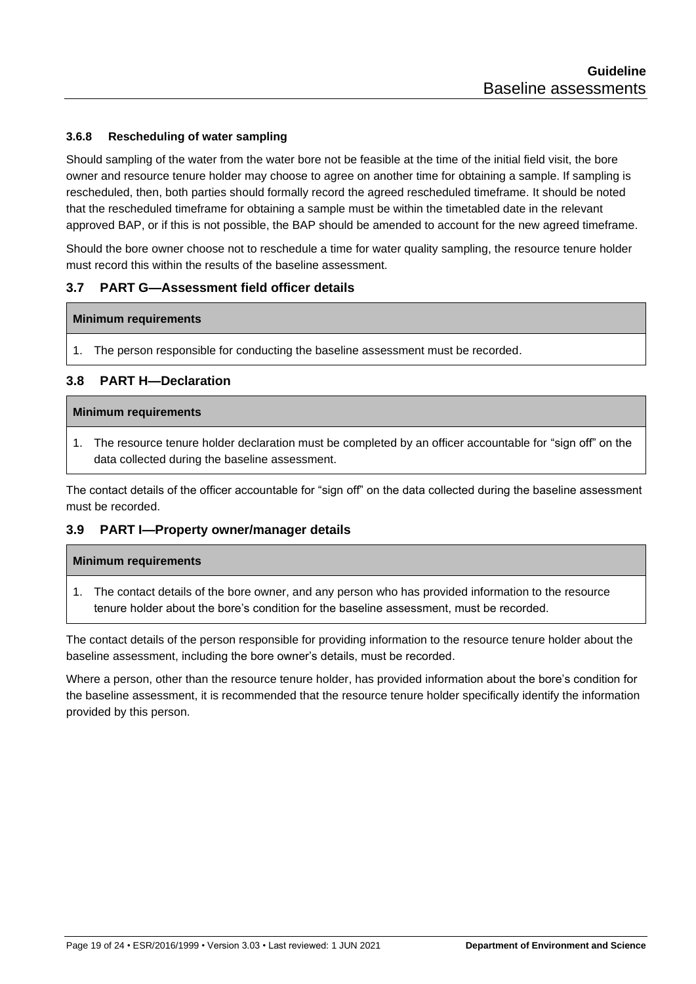#### <span id="page-18-0"></span>**3.6.8 Rescheduling of water sampling**

Should sampling of the water from the water bore not be feasible at the time of the initial field visit, the bore owner and resource tenure holder may choose to agree on another time for obtaining a sample. If sampling is rescheduled, then, both parties should formally record the agreed rescheduled timeframe. It should be noted that the rescheduled timeframe for obtaining a sample must be within the timetabled date in the relevant approved BAP, or if this is not possible, the BAP should be amended to account for the new agreed timeframe.

Should the bore owner choose not to reschedule a time for water quality sampling, the resource tenure holder must record this within the results of the baseline assessment.

#### <span id="page-18-1"></span>**3.7 PART G—Assessment field officer details**

#### **Minimum requirements**

1. The person responsible for conducting the baseline assessment must be recorded.

#### <span id="page-18-2"></span>**3.8 PART H—Declaration**

#### **Minimum requirements**

1. The resource tenure holder declaration must be completed by an officer accountable for "sign off" on the data collected during the baseline assessment.

The contact details of the officer accountable for "sign off" on the data collected during the baseline assessment must be recorded.

#### <span id="page-18-3"></span>**3.9 PART I—Property owner/manager details**

#### **Minimum requirements**

1. The contact details of the bore owner, and any person who has provided information to the resource tenure holder about the bore's condition for the baseline assessment, must be recorded.

The contact details of the person responsible for providing information to the resource tenure holder about the baseline assessment, including the bore owner's details, must be recorded.

Where a person, other than the resource tenure holder, has provided information about the bore's condition for the baseline assessment, it is recommended that the resource tenure holder specifically identify the information provided by this person.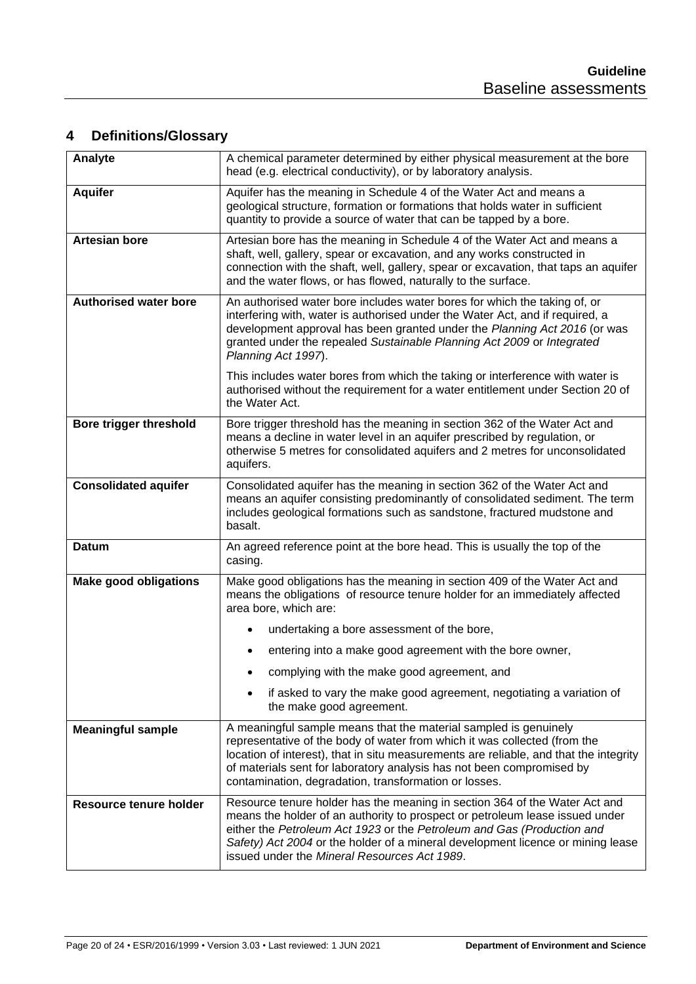# <span id="page-19-0"></span>**4 Definitions/Glossary**

| Analyte                                                                                                                                                                                                                                                                                                                                                                                                  | A chemical parameter determined by either physical measurement at the bore<br>head (e.g. electrical conductivity), or by laboratory analysis.                                                                                                                                                                                                                            |  |
|----------------------------------------------------------------------------------------------------------------------------------------------------------------------------------------------------------------------------------------------------------------------------------------------------------------------------------------------------------------------------------------------------------|--------------------------------------------------------------------------------------------------------------------------------------------------------------------------------------------------------------------------------------------------------------------------------------------------------------------------------------------------------------------------|--|
| <b>Aquifer</b>                                                                                                                                                                                                                                                                                                                                                                                           | Aquifer has the meaning in Schedule 4 of the Water Act and means a<br>geological structure, formation or formations that holds water in sufficient<br>quantity to provide a source of water that can be tapped by a bore.                                                                                                                                                |  |
| <b>Artesian bore</b>                                                                                                                                                                                                                                                                                                                                                                                     | Artesian bore has the meaning in Schedule 4 of the Water Act and means a<br>shaft, well, gallery, spear or excavation, and any works constructed in<br>connection with the shaft, well, gallery, spear or excavation, that taps an aquifer<br>and the water flows, or has flowed, naturally to the surface.                                                              |  |
| <b>Authorised water bore</b>                                                                                                                                                                                                                                                                                                                                                                             | An authorised water bore includes water bores for which the taking of, or<br>interfering with, water is authorised under the Water Act, and if required, a<br>development approval has been granted under the Planning Act 2016 (or was<br>granted under the repealed Sustainable Planning Act 2009 or Integrated<br>Planning Act 1997).                                 |  |
|                                                                                                                                                                                                                                                                                                                                                                                                          | This includes water bores from which the taking or interference with water is<br>authorised without the requirement for a water entitlement under Section 20 of<br>the Water Act.                                                                                                                                                                                        |  |
| <b>Bore trigger threshold</b>                                                                                                                                                                                                                                                                                                                                                                            | Bore trigger threshold has the meaning in section 362 of the Water Act and<br>means a decline in water level in an aquifer prescribed by regulation, or<br>otherwise 5 metres for consolidated aquifers and 2 metres for unconsolidated<br>aquifers.                                                                                                                     |  |
| <b>Consolidated aquifer</b>                                                                                                                                                                                                                                                                                                                                                                              | Consolidated aquifer has the meaning in section 362 of the Water Act and<br>means an aquifer consisting predominantly of consolidated sediment. The term<br>includes geological formations such as sandstone, fractured mudstone and<br>basalt.                                                                                                                          |  |
| <b>Datum</b>                                                                                                                                                                                                                                                                                                                                                                                             | An agreed reference point at the bore head. This is usually the top of the<br>casing.                                                                                                                                                                                                                                                                                    |  |
| <b>Make good obligations</b>                                                                                                                                                                                                                                                                                                                                                                             | Make good obligations has the meaning in section 409 of the Water Act and<br>means the obligations of resource tenure holder for an immediately affected<br>area bore, which are:                                                                                                                                                                                        |  |
|                                                                                                                                                                                                                                                                                                                                                                                                          | undertaking a bore assessment of the bore,                                                                                                                                                                                                                                                                                                                               |  |
|                                                                                                                                                                                                                                                                                                                                                                                                          | entering into a make good agreement with the bore owner,                                                                                                                                                                                                                                                                                                                 |  |
|                                                                                                                                                                                                                                                                                                                                                                                                          | complying with the make good agreement, and                                                                                                                                                                                                                                                                                                                              |  |
|                                                                                                                                                                                                                                                                                                                                                                                                          | if asked to vary the make good agreement, negotiating a variation of<br>the make good agreement.                                                                                                                                                                                                                                                                         |  |
| <b>Meaningful sample</b>                                                                                                                                                                                                                                                                                                                                                                                 | A meaningful sample means that the material sampled is genuinely<br>representative of the body of water from which it was collected (from the<br>location of interest), that in situ measurements are reliable, and that the integrity<br>of materials sent for laboratory analysis has not been compromised by<br>contamination, degradation, transformation or losses. |  |
| Resource tenure holder has the meaning in section 364 of the Water Act and<br><b>Resource tenure holder</b><br>means the holder of an authority to prospect or petroleum lease issued under<br>either the Petroleum Act 1923 or the Petroleum and Gas (Production and<br>Safety) Act 2004 or the holder of a mineral development licence or mining lease<br>issued under the Mineral Resources Act 1989. |                                                                                                                                                                                                                                                                                                                                                                          |  |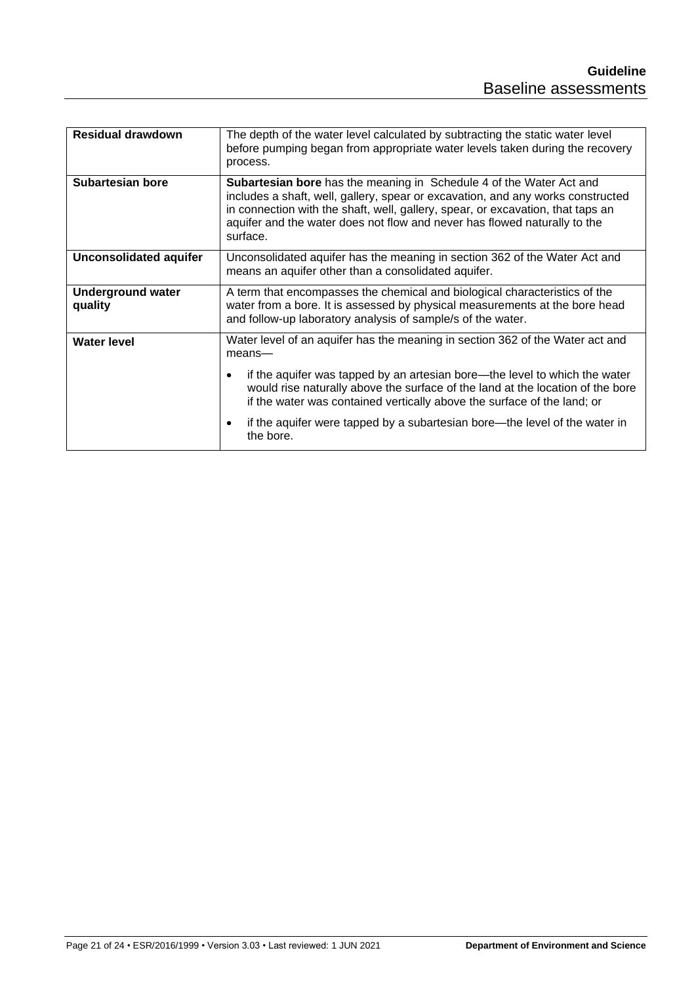| <b>Residual drawdown</b>            | The depth of the water level calculated by subtracting the static water level<br>before pumping began from appropriate water levels taken during the recovery<br>process.                                                                                                                                                                 |  |
|-------------------------------------|-------------------------------------------------------------------------------------------------------------------------------------------------------------------------------------------------------------------------------------------------------------------------------------------------------------------------------------------|--|
| Subartesian bore                    | <b>Subartesian bore</b> has the meaning in Schedule 4 of the Water Act and<br>includes a shaft, well, gallery, spear or excavation, and any works constructed<br>in connection with the shaft, well, gallery, spear, or excavation, that taps an<br>aquifer and the water does not flow and never has flowed naturally to the<br>surface. |  |
| <b>Unconsolidated aquifer</b>       | Unconsolidated aquifer has the meaning in section 362 of the Water Act and<br>means an aquifer other than a consolidated aquifer.                                                                                                                                                                                                         |  |
| <b>Underground water</b><br>quality | A term that encompasses the chemical and biological characteristics of the<br>water from a bore. It is assessed by physical measurements at the bore head<br>and follow-up laboratory analysis of sample/s of the water.                                                                                                                  |  |
| <b>Water level</b>                  | Water level of an aquifer has the meaning in section 362 of the Water act and<br>mean                                                                                                                                                                                                                                                     |  |
|                                     | if the aquifer was tapped by an artesian bore—the level to which the water<br>would rise naturally above the surface of the land at the location of the bore<br>if the water was contained vertically above the surface of the land; or                                                                                                   |  |
|                                     | if the aquifer were tapped by a subartesian bore—the level of the water in<br>the bore.                                                                                                                                                                                                                                                   |  |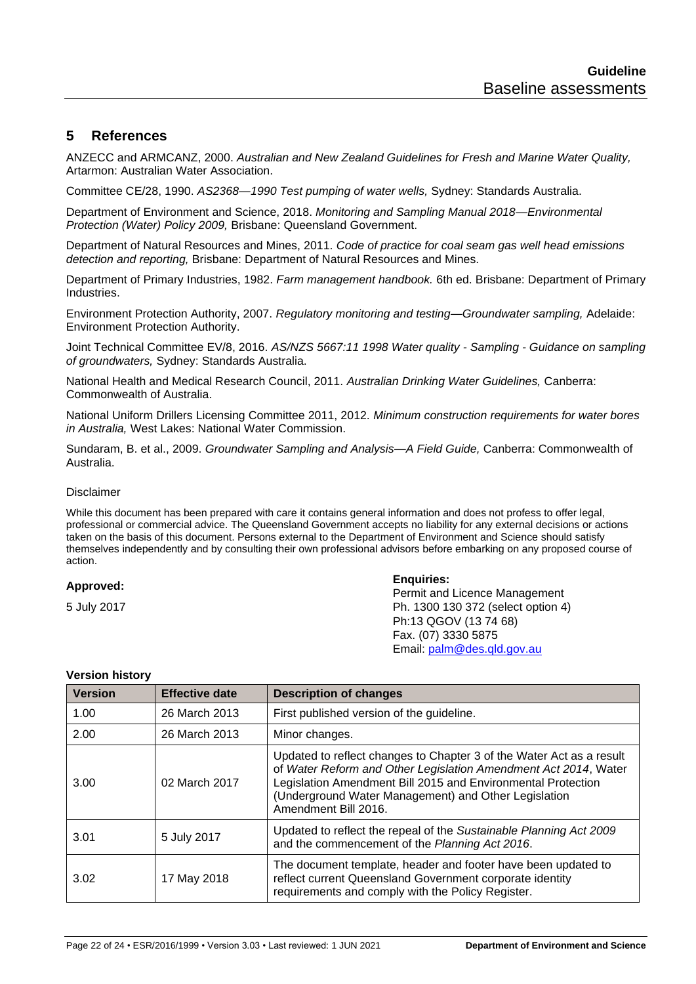# <span id="page-21-0"></span>**5 References**

ANZECC and ARMCANZ, 2000. *Australian and New Zealand Guidelines for Fresh and Marine Water Quality,*  Artarmon: Australian Water Association.

Committee CE/28, 1990. *AS2368—1990 Test pumping of water wells,* Sydney: Standards Australia.

Department of Environment and Science, 2018. *Monitoring and Sampling Manual 2018—Environmental Protection (Water) Policy 2009,* Brisbane: Queensland Government.

Department of Natural Resources and Mines, 2011. *Code of practice for coal seam gas well head emissions detection and reporting,* Brisbane: Department of Natural Resources and Mines.

Department of Primary Industries, 1982. *Farm management handbook.* 6th ed. Brisbane: Department of Primary **Industries** 

Environment Protection Authority, 2007. *Regulatory monitoring and testing—Groundwater sampling,* Adelaide: Environment Protection Authority.

Joint Technical Committee EV/8, 2016. *AS/NZS 5667:11 1998 Water quality - Sampling - Guidance on sampling of groundwaters,* Sydney: Standards Australia.

National Health and Medical Research Council, 2011. *Australian Drinking Water Guidelines,* Canberra: Commonwealth of Australia.

National Uniform Drillers Licensing Committee 2011, 2012. *Minimum construction requirements for water bores in Australia,* West Lakes: National Water Commission.

Sundaram, B. et al., 2009. *Groundwater Sampling and Analysis—A Field Guide,* Canberra: Commonwealth of Australia.

#### Disclaimer

While this document has been prepared with care it contains general information and does not profess to offer legal, professional or commercial advice. The Queensland Government accepts no liability for any external decisions or actions taken on the basis of this document. Persons external to the Department of Environment and Science should satisfy themselves independently and by consulting their own professional advisors before embarking on any proposed course of action.

#### **Approved:**

5 July 2017

**Enquiries:**

Permit and Licence Management Ph. 1300 130 372 (select option 4) Ph:13 QGOV (13 74 68) Fax. (07) 3330 5875 Email: [palm@des.qld.gov.au](mailto:palm@des.qld.gov.au)

| <b>Version</b> | <b>Effective date</b> | <b>Description of changes</b>                                                                                                                                                                                                                                                           |
|----------------|-----------------------|-----------------------------------------------------------------------------------------------------------------------------------------------------------------------------------------------------------------------------------------------------------------------------------------|
| 1.00           | 26 March 2013         | First published version of the guideline.                                                                                                                                                                                                                                               |
| 2.00           | 26 March 2013         | Minor changes.                                                                                                                                                                                                                                                                          |
| 3.00           | 02 March 2017         | Updated to reflect changes to Chapter 3 of the Water Act as a result<br>of Water Reform and Other Legislation Amendment Act 2014, Water<br>Legislation Amendment Bill 2015 and Environmental Protection<br>(Underground Water Management) and Other Legislation<br>Amendment Bill 2016. |
| 3.01           | 5 July 2017           | Updated to reflect the repeal of the Sustainable Planning Act 2009<br>and the commencement of the Planning Act 2016.                                                                                                                                                                    |
| 3.02           | 17 May 2018           | The document template, header and footer have been updated to<br>reflect current Queensland Government corporate identity<br>requirements and comply with the Policy Register.                                                                                                          |

#### **Version history**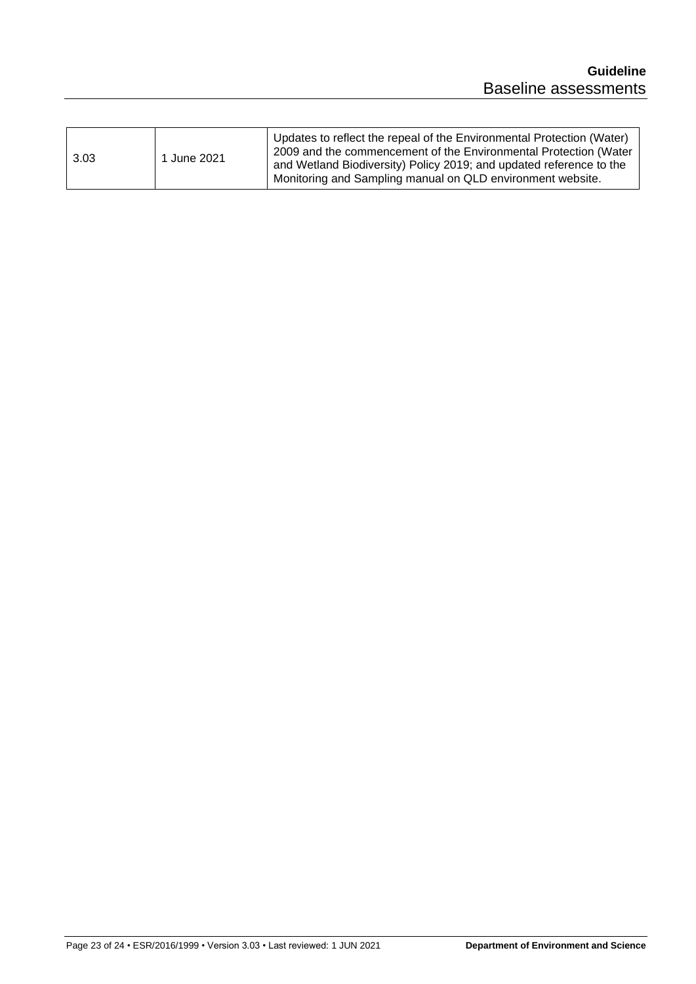| 3.03<br>June 2021 |
|-------------------|
|-------------------|